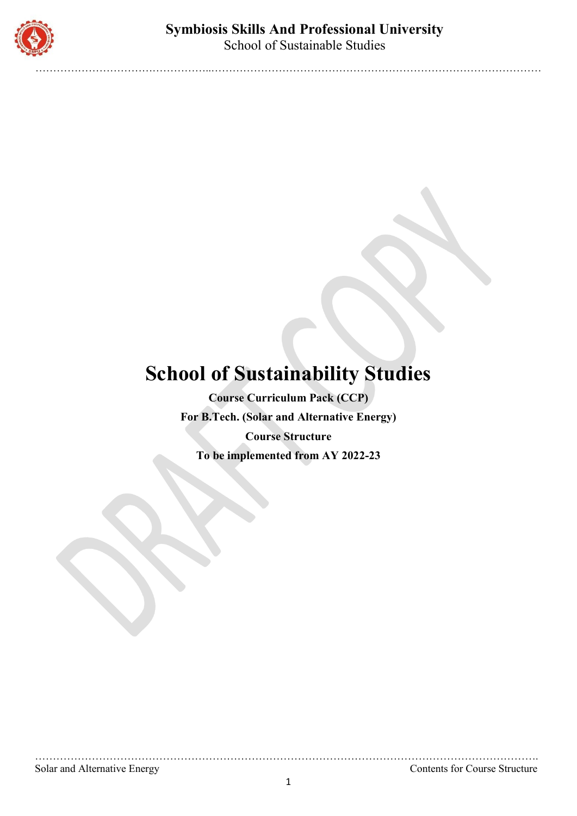

…………………………………………..…………………………………………………………………………………

# **School of Sustainability Studies**

**Course Curriculum Pack (CCP) For B.Tech. (Solar and Alternative Energy) Course Structure To be implemented from AY 2022-23**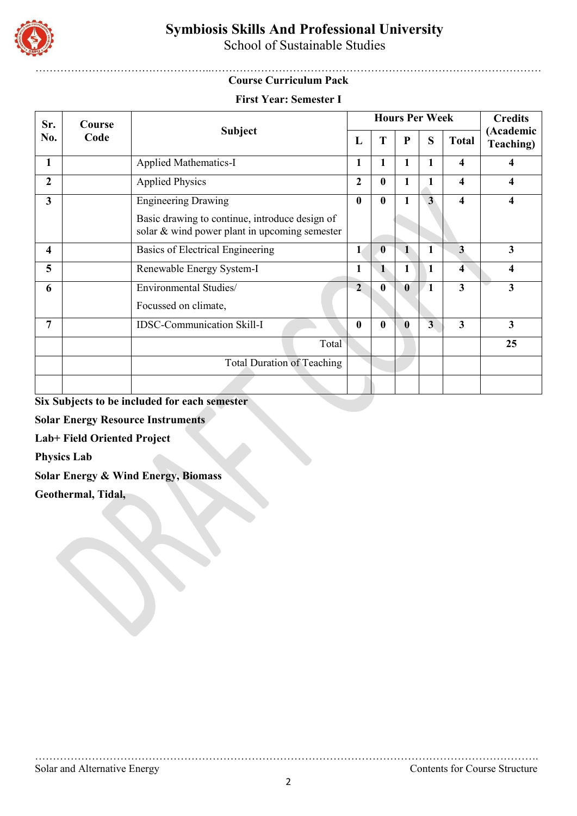

School of Sustainable Studies

#### …………………………………………..………………………………………………………………………………… **Course Curriculum Pack**

#### **First Year: Semester I**

| Sr.                     | Course |                                                                                                 |              | <b>Hours Per Week</b> |                | <b>Credits</b>          |                         |                        |
|-------------------------|--------|-------------------------------------------------------------------------------------------------|--------------|-----------------------|----------------|-------------------------|-------------------------|------------------------|
| No.                     | Code   | <b>Subject</b>                                                                                  | L            | T                     | P              | S                       | <b>Total</b>            | (Academic<br>Teaching) |
| 1                       |        | <b>Applied Mathematics-I</b>                                                                    | 1            | 1                     | 1              | 1                       | 4                       | 4                      |
| $\overline{2}$          |        | <b>Applied Physics</b>                                                                          | 2            | $\bf{0}$              |                | $\mathbf{1}$            | 4                       | 4                      |
| $\overline{\mathbf{3}}$ |        | <b>Engineering Drawing</b>                                                                      | $\bf{0}$     | $\boldsymbol{0}$      |                | $\overline{\mathbf{3}}$ | 4                       | 4                      |
|                         |        | Basic drawing to continue, introduce design of<br>solar & wind power plant in upcoming semester |              |                       |                |                         |                         |                        |
| 4                       |        | Basics of Electrical Engineering                                                                | 1            | $\bf{0}$              | $\blacksquare$ | 1                       | 3                       | 3                      |
| 5                       |        | Renewable Energy System-I                                                                       | 1            | $\mathbf{1}$          | 1              | 1                       | $\overline{4}$          | 4                      |
| 6                       |        | Environmental Studies/                                                                          | $\mathbf{2}$ | $\bf{0}$              | $\bf{0}$       | 1                       | $\overline{\mathbf{3}}$ | 3                      |
|                         |        | Focussed on climate,                                                                            |              |                       |                |                         |                         |                        |
| 7                       |        | <b>IDSC-Communication Skill-I</b>                                                               | $\mathbf{0}$ | $\bf{0}$              | $\bf{0}$       | $\overline{\mathbf{3}}$ | $\overline{\mathbf{3}}$ | 3                      |
|                         |        | Total                                                                                           |              |                       |                |                         |                         | 25                     |
|                         |        | <b>Total Duration of Teaching</b>                                                               |              |                       |                |                         |                         |                        |
|                         |        |                                                                                                 |              |                       |                |                         |                         |                        |

**Six Subjects to be included for each semester** 

**Solar Energy Resource Instruments**

**Lab+ Field Oriented Project** 

**Physics Lab**

**Solar Energy & Wind Energy, Biomass** 

**Geothermal, Tidal,**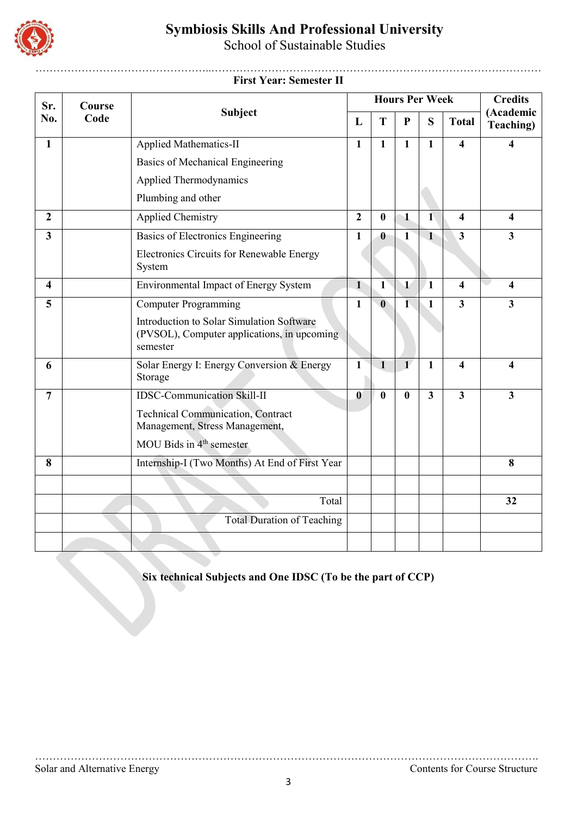

School of Sustainable Studies

#### …………………………………………..………………………………………………………………………………… **First Year: Semester II**

| Sr.                     | Course |                                                                                                      | <b>Hours Per Week</b> |              |                         |                         |                         | <b>Credits</b>          |
|-------------------------|--------|------------------------------------------------------------------------------------------------------|-----------------------|--------------|-------------------------|-------------------------|-------------------------|-------------------------|
| No.                     | Code   | <b>Subject</b>                                                                                       | L                     | T            | ${\bf P}$               | S                       | <b>Total</b>            | (Academic<br>Teaching)  |
| $\mathbf{1}$            |        | <b>Applied Mathematics-II</b>                                                                        | $\mathbf{1}$          | $\mathbf{1}$ | $\mathbf{1}$            | $\overline{1}$          | $\overline{\mathbf{4}}$ | 4                       |
|                         |        | Basics of Mechanical Engineering                                                                     |                       |              |                         |                         |                         |                         |
|                         |        | Applied Thermodynamics                                                                               |                       |              |                         |                         |                         |                         |
|                         |        | Plumbing and other                                                                                   |                       |              |                         |                         |                         |                         |
| $\overline{2}$          |        | <b>Applied Chemistry</b>                                                                             | $\overline{2}$        | $\bf{0}$     | $\mathbf{1}$            | $\mathbf{1}$            | $\overline{\mathbf{4}}$ | $\overline{\mathbf{4}}$ |
| 3                       |        | Basics of Electronics Engineering                                                                    | $\mathbf{1}$          | $\mathbf{0}$ | $\mathbf{1}$            | $\mathbf{1}$            | $\overline{3}$          | $\overline{\mathbf{3}}$ |
|                         |        | Electronics Circuits for Renewable Energy<br>System                                                  |                       |              |                         |                         |                         |                         |
| $\overline{\mathbf{4}}$ |        | Environmental Impact of Energy System                                                                | $\mathbf{1}$          | $\mathbf{1}$ | $\mathbf{1}$            | $\sqrt{1}$              | $\overline{\mathbf{4}}$ | $\overline{\mathbf{4}}$ |
| 5                       |        | <b>Computer Programming</b>                                                                          | $\mathbf{1}$          | $\mathbf{0}$ | $\overline{\mathbf{1}}$ | $\mathbf{1}$            | $\overline{3}$          | 3                       |
|                         |        | Introduction to Solar Simulation Software<br>(PVSOL), Computer applications, in upcoming<br>semester |                       |              |                         |                         |                         |                         |
| 6                       |        | Solar Energy I: Energy Conversion & Energy<br>Storage                                                | $\mathbf{1}$          | $\mathbf{1}$ | $\mathbf{1}$            | $\mathbf{1}$            | $\overline{\mathbf{4}}$ | 4                       |
| $\overline{7}$          |        | <b>IDSC-Communication Skill-II</b>                                                                   | $\mathbf{0}$          | $\bf{0}$     | $\bf{0}$                | $\overline{\mathbf{3}}$ | $\overline{\mathbf{3}}$ | $\overline{\mathbf{3}}$ |
|                         |        | <b>Technical Communication, Contract</b><br>Management, Stress Management,                           |                       |              |                         |                         |                         |                         |
|                         |        | MOU Bids in 4 <sup>th</sup> semester                                                                 |                       |              |                         |                         |                         |                         |
| 8                       |        | Internship-I (Two Months) At End of First Year                                                       |                       |              |                         |                         |                         | 8                       |
|                         |        |                                                                                                      |                       |              |                         |                         |                         |                         |
|                         |        | Total                                                                                                |                       |              |                         |                         |                         | 32                      |
|                         |        | <b>Total Duration of Teaching</b>                                                                    |                       |              |                         |                         |                         |                         |
|                         |        |                                                                                                      |                       |              |                         |                         |                         |                         |

## **Six technical Subjects and One IDSC (To be the part of CCP)**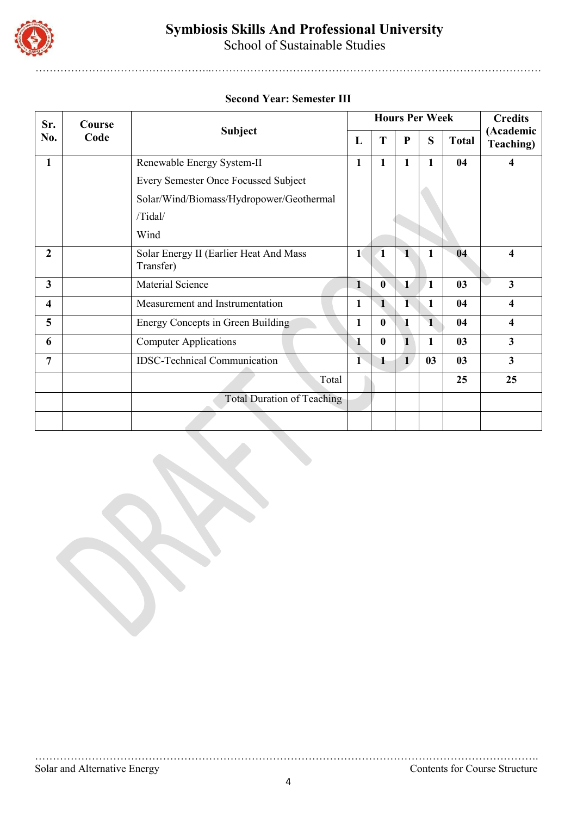

School of Sustainable Studies

…………………………………………..…………………………………………………………………………………

### **Second Year: Semester III**

| Sr.                     | Course | <b>Subject</b>                                      |              |                  |              | <b>Hours Per Week</b> |              | <b>Credits</b><br>(Academic<br><b>Teaching</b> ) |
|-------------------------|--------|-----------------------------------------------------|--------------|------------------|--------------|-----------------------|--------------|--------------------------------------------------|
| No.                     | Code   |                                                     | L            | T                | P            | S                     | <b>Total</b> |                                                  |
| 1                       |        | Renewable Energy System-II                          | $\mathbf{1}$ | $\mathbf{1}$     | 1            | $\mathbf{1}$          | 04           | 4                                                |
|                         |        | Every Semester Once Focussed Subject                |              |                  |              |                       |              |                                                  |
|                         |        | Solar/Wind/Biomass/Hydropower/Geothermal            |              |                  |              |                       |              |                                                  |
|                         |        | /Tidal/                                             |              |                  |              |                       |              |                                                  |
|                         |        | Wind                                                |              |                  |              |                       |              |                                                  |
| 2                       |        | Solar Energy II (Earlier Heat And Mass<br>Transfer) | $\mathbf{1}$ | 1                | $\mathbf 1$  | 1                     | 04           | 4                                                |
| $\overline{\mathbf{3}}$ |        | Material Science                                    | $\mathbf{1}$ | $\boldsymbol{0}$ | $\mathbf{1}$ | 1                     | 03           | 3                                                |
| $\overline{\mathbf{4}}$ |        | Measurement and Instrumentation                     | 1            | $\mathbf{1}$     | 1            | 1                     | 04           | 4                                                |
| 5                       |        | Energy Concepts in Green Building                   | $\mathbf{1}$ | $\bf{0}$         | $\mathbf{1}$ | $\mathbf{1}$          | 04           | 4                                                |
| 6                       |        | <b>Computer Applications</b>                        | 1            | $\bf{0}$         | $\mathbf{1}$ | 1                     | 03           | $\overline{\mathbf{3}}$                          |
| 7                       |        | <b>IDSC-Technical Communication</b>                 | $\mathbf{I}$ | 1                | $\mathbf{1}$ | 03                    | 03           | 3                                                |
|                         |        | Total                                               |              |                  |              |                       | 25           | 25                                               |
|                         |        | <b>Total Duration of Teaching</b>                   |              |                  |              |                       |              |                                                  |
|                         |        |                                                     |              |                  |              |                       |              |                                                  |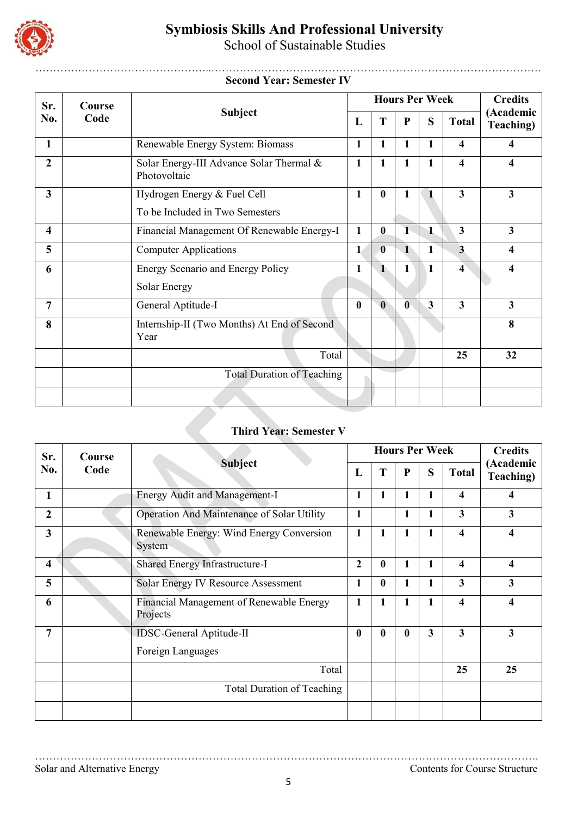

School of Sustainable Studies

#### …………………………………………..………………………………………………………………………………… **Second Year: Semester IV**

| Sr.                     | Course |                                                                |              |                  |              | <b>Hours Per Week</b> |                         | <b>Credits</b>          |
|-------------------------|--------|----------------------------------------------------------------|--------------|------------------|--------------|-----------------------|-------------------------|-------------------------|
| No.                     | Code   | <b>Subject</b>                                                 | L            | T                | ${\bf P}$    | S                     | <b>Total</b>            | (Academic<br>Teaching)  |
| 1                       |        | Renewable Energy System: Biomass                               | 1            | 1                | 1            | 1                     | $\overline{\mathbf{4}}$ | 4                       |
| $\overline{2}$          |        | Solar Energy-III Advance Solar Thermal &<br>Photovoltaic       | 1            | 1                | 1            | 1                     | 4                       | 4                       |
| 3                       |        | Hydrogen Energy & Fuel Cell<br>To be Included in Two Semesters | $\mathbf{1}$ | $\boldsymbol{0}$ | 1            | $\mathbf{1}$          | $\overline{\mathbf{3}}$ | $\overline{\mathbf{3}}$ |
| $\overline{\mathbf{4}}$ |        | Financial Management Of Renewable Energy-I                     | $\mathbf{1}$ | $\bf{0}$         | $\mathbf{1}$ | $\mathbf{1}$          | $\overline{\mathbf{3}}$ | $\overline{\mathbf{3}}$ |
| 5                       |        | <b>Computer Applications</b>                                   | $\mathbf{1}$ | $\bf{0}$         | $\mathbf 1$  | 1                     | $\overline{3}$          | 4                       |
| 6                       |        | Energy Scenario and Energy Policy<br>Solar Energy              | 1            | $\mathbf{1}$     | 1            | 1                     | $\overline{4}$          | 4                       |
| 7                       |        | General Aptitude-I                                             | 0            | $\mathbf{0}$     | $\bf{0}$     | 3                     | $\overline{\mathbf{3}}$ | $\overline{\mathbf{3}}$ |
| 8                       |        | Internship-II (Two Months) At End of Second<br>Year            |              |                  |              |                       |                         | 8                       |
|                         |        | Total                                                          |              |                  |              |                       | 25                      | 32                      |
|                         |        | <b>Total Duration of Teaching</b>                              |              |                  |              |                       |                         |                         |
|                         |        |                                                                |              |                  |              |                       |                         |                         |

# **Third Year: Semester V**

| Sr.                     | Course<br>Code | Subject                                              |                  | <b>Hours Per Week</b> |                  | <b>Credits</b> |                         |                         |
|-------------------------|----------------|------------------------------------------------------|------------------|-----------------------|------------------|----------------|-------------------------|-------------------------|
| No.                     |                |                                                      | L                | T                     | $\mathbf{P}$     | S              | <b>Total</b>            | (Academic<br>Teaching)  |
| 1                       |                | <b>Energy Audit and Management-I</b>                 | 1                | 1                     | 1                | 1              | 4                       | 4                       |
| $\overline{2}$          |                | Operation And Maintenance of Solar Utility           | 1                |                       | 1                | 1              | $\overline{\mathbf{3}}$ | $\mathbf{3}$            |
| $\overline{\mathbf{3}}$ |                | Renewable Energy: Wind Energy Conversion<br>System   | 1                | 1                     | 1                | $\mathbf{1}$   | $\overline{\mathbf{4}}$ | 4                       |
| 4                       |                | Shared Energy Infrastructure-I                       | $\overline{2}$   | $\bf{0}$              | 1                | 1              | $\overline{\mathbf{4}}$ | $\overline{\mathbf{4}}$ |
| 5                       |                | Solar Energy IV Resource Assessment                  | 1                | $\bf{0}$              | 1                | $\mathbf{1}$   | $\overline{\mathbf{3}}$ | 3                       |
| 6                       |                | Financial Management of Renewable Energy<br>Projects | 1                | $\mathbf{1}$          | 1                | 1              | $\overline{\mathbf{4}}$ | 4                       |
| 7                       |                | <b>IDSC-General Aptitude-II</b>                      | $\boldsymbol{0}$ | $\bf{0}$              | $\boldsymbol{0}$ | 3              | $\overline{\mathbf{3}}$ | 3                       |
|                         |                | Foreign Languages                                    |                  |                       |                  |                |                         |                         |
|                         |                | Total                                                |                  |                       |                  |                | 25                      | 25                      |
|                         |                | Total Duration of Teaching                           |                  |                       |                  |                |                         |                         |
|                         |                |                                                      |                  |                       |                  |                |                         |                         |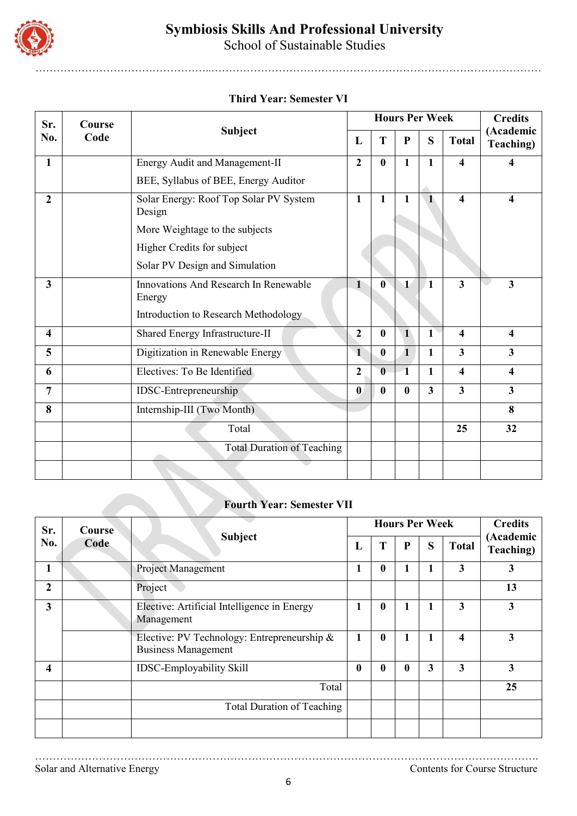

School of Sustainable Studies

…………………………………………..…………………………………………………………………………………

### **Third Year: Semester VI**

| Sr.                     | Course | <b>Hours Per Week</b>                            |                      |              |              |              |                         | <b>Credits</b>                 |
|-------------------------|--------|--------------------------------------------------|----------------------|--------------|--------------|--------------|-------------------------|--------------------------------|
| No.                     | Code   | <b>Subject</b>                                   | L                    | T            | $\mathbf{P}$ | S            | <b>Total</b>            | (Academic<br><b>Teaching</b> ) |
| $\mathbf{1}$            |        | Energy Audit and Management-II                   | $\boldsymbol{2}$     | $\bf{0}$     | $\mathbf{1}$ | $\mathbf{1}$ | 4                       | $\overline{\mathbf{4}}$        |
|                         |        | BEE, Syllabus of BEE, Energy Auditor             |                      |              |              |              |                         |                                |
| $\overline{2}$          |        | Solar Energy: Roof Top Solar PV System<br>Design | $\mathbf{1}$         | $\mathbf{1}$ | $\mathbf{1}$ | $\mathbf{1}$ | 4                       | 4                              |
|                         |        | More Weightage to the subjects                   |                      |              |              |              |                         |                                |
|                         |        | Higher Credits for subject                       |                      |              |              |              |                         |                                |
|                         |        | Solar PV Design and Simulation                   |                      |              |              |              |                         |                                |
| 3                       |        | Innovations And Research In Renewable<br>Energy  | $\mathbf{1}$         | $\mathbf{0}$ | $\mathbf{1}$ | $\sqrt{1}$   | $\overline{\mathbf{3}}$ | 3                              |
|                         |        | Introduction to Research Methodology             |                      |              |              |              |                         |                                |
| $\overline{\mathbf{4}}$ |        | Shared Energy Infrastructure-II                  | $\boldsymbol{2}$     | $\bf{0}$     | $\mathbf{1}$ | $\mathbf{1}$ | $\boldsymbol{4}$        | $\overline{\mathbf{4}}$        |
| 5                       |        | Digitization in Renewable Energy                 | $\blacktriangleleft$ | $\bf{0}$     | $\mathbf{1}$ | $\mathbf{1}$ | $\overline{\mathbf{3}}$ | 3                              |
| 6                       |        | Electives: To Be Identified                      | $\overline{2}$       | $\bf{0}$     | $\mathbf 1$  | $\mathbf{1}$ | $\overline{\mathbf{4}}$ | $\overline{\mathbf{4}}$        |
| 7                       |        | IDSC-Entrepreneurship                            | $\bf{0}$             | $\bf{0}$     | $\bf{0}$     | $\mathbf{3}$ | $\overline{\mathbf{3}}$ | $\overline{\mathbf{3}}$        |
| 8                       |        | Internship-III (Two Month)                       |                      |              |              |              |                         | 8                              |
|                         |        | Total                                            |                      |              |              |              | 25                      | 32                             |
|                         |        | <b>Total Duration of Teaching</b>                |                      |              |              |              |                         |                                |
|                         |        |                                                  |                      |              |              |              |                         |                                |

### **Fourth Year: Semester VII**

| Sr.            | <b>Course</b> | <b>Subject</b>                                                            |                  | <b>Hours Per Week</b> | <b>Credits</b>   |   |              |                        |
|----------------|---------------|---------------------------------------------------------------------------|------------------|-----------------------|------------------|---|--------------|------------------------|
| No.            | Code          |                                                                           | L                | T                     | ${\bf P}$        | S | <b>Total</b> | (Academic<br>Teaching) |
| 1              |               | Project Management                                                        | 1                | $\boldsymbol{0}$      | 1                | 1 | 3            | $\mathbf{3}$           |
| $\overline{2}$ |               | Project                                                                   |                  |                       |                  |   |              | 13                     |
| 3              |               | Elective: Artificial Intelligence in Energy<br>Management                 |                  | $\bf{0}$              | 1                | 1 | 3            | $\mathbf{3}$           |
|                |               | Elective: PV Technology: Entrepreneurship &<br><b>Business Management</b> | 1                | $\boldsymbol{0}$      | 1                | 1 | 4            | $\mathbf{3}$           |
| 4              |               | <b>IDSC-Employability Skill</b>                                           | $\boldsymbol{0}$ | $\bf{0}$              | $\boldsymbol{0}$ | 3 | 3            | $\mathbf{3}$           |
|                |               | Total                                                                     |                  |                       |                  |   |              | 25                     |
|                |               | <b>Total Duration of Teaching</b>                                         |                  |                       |                  |   |              |                        |
|                |               |                                                                           |                  |                       |                  |   |              |                        |